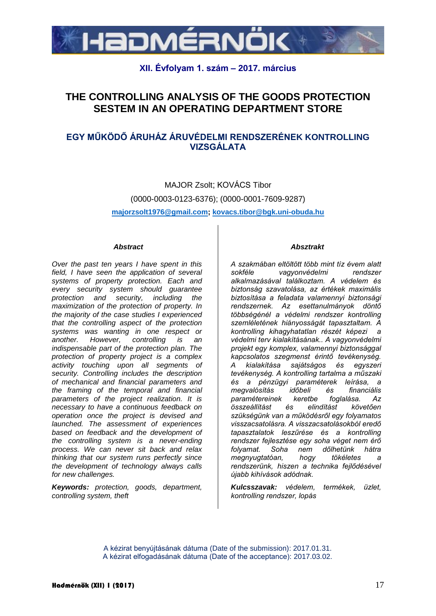

## **XII. Évfolyam 1. szám – 2017. március**

# **THE CONTROLLING ANALYSIS OF THE GOODS PROTECTION SESTEM IN AN OPERATING DEPARTMENT STORE**

## **EGY MŰKÖDŐ ÁRUHÁZ ÁRUVÉDELMI RENDSZERÉNEK KONTROLLING VIZSGÁLATA**

MAJOR Zsolt; KOVÁCS Tibor [\(0000-0003-0123-6376\)](callto:0000-0003-0123-6376); (0000-0001-7609-9287) **majorzsolt1976@gmail.com; kovacs.tibor@bgk.uni-obuda.hu**

#### *Abstract*

*Over the past ten years I have spent in this field, I have seen the application of several systems of property protection. Each and every security system should guarantee protection and security, including the maximization of the protection of property. In the majority of the case studies I experienced that the controlling aspect of the protection systems was wanting in one respect or another. However, controlling is an indispensable part of the protection plan. The protection of property project is a complex activity touching upon all segments of security. Controlling includes the description of mechanical and financial parameters and the framing of the temporal and financial parameters of the project realization. It is necessary to have a continuous feedback on operation once the project is devised and launched. The assessment of experiences based on feedback and the development of the controlling system is a never-ending process. We can never sit back and relax thinking that our system runs perfectly since the development of technology always calls for new challenges.*

*Keywords: protection, goods, department, controlling system, theft*

#### *Absztrakt*

*A szakmában eltöltött több mint tíz évem alatt sokféle vagyonvédelmi rendszer alkalmazásával találkoztam. A védelem és biztonság szavatolása, az értékek maximális biztosítása a feladata valamennyi biztonsági rendszernek. Az esettanulmányok döntő többségénél a védelmi rendszer kontrolling szemléletének hiányosságát tapasztaltam. A kontrolling kihagyhatatlan részét képezi a védelmi terv kialakításának.. A vagyonvédelmi projekt egy komplex, valamennyi biztonsággal kapcsolatos szegmenst érintő tevékenység. A kialakítása sajátságos és egyszeri tevékenység. A kontrolling tartalma a műszaki és a pénzügyi paraméterek leírása, a megvalósítás időbeli és financiális paramétereinek keretbe foglalása. Az összeállítást és elindítást követően szükségünk van a működésről egy folyamatos visszacsatolásra. A visszacsatolásokból eredő tapasztalatok leszűrése és a kontrolling rendszer fejlesztése egy soha véget nem érő folyamat. Soha nem dőlhetünk hátra megnyugtatóan, hogy tökéletes a rendszerünk, hiszen a technika fejlődésével újabb kihívások adódnak.*

*Kulcsszavak: védelem, termékek, üzlet, kontrolling rendszer, lopás*

A kézirat benyújtásának dátuma (Date of the submission): 2017.01.31. A kézirat elfogadásának dátuma (Date of the acceptance): 2017.03.02.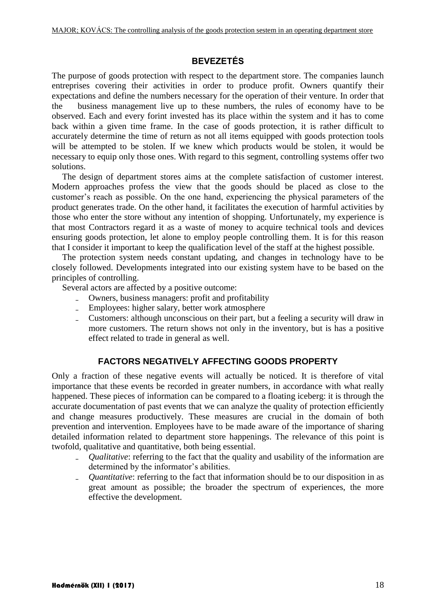### **BEVEZETÉS**

The purpose of goods protection with respect to the department store. The companies launch entreprises covering their activities in order to produce profit. Owners quantify their expectations and define the numbers necessary for the operation of their venture. In order that the business management live up to these numbers, the rules of economy have to be observed. Each and every forint invested has its place within the system and it has to come back within a given time frame. In the case of goods protection, it is rather difficult to accurately determine the time of return as not all items equipped with goods protection tools will be attempted to be stolen. If we knew which products would be stolen, it would be necessary to equip only those ones. With regard to this segment, controlling systems offer two solutions.

The design of department stores aims at the complete satisfaction of customer interest. Modern approaches profess the view that the goods should be placed as close to the customer's reach as possible. On the one hand, experiencing the physical parameters of the product generates trade. On the other hand, it facilitates the execution of harmful activities by those who enter the store without any intention of shopping. Unfortunately, my experience is that most Contractors regard it as a waste of money to acquire technical tools and devices ensuring goods protection, let alone to employ people controlling them. It is for this reason that I consider it important to keep the qualification level of the staff at the highest possible.

The protection system needs constant updating, and changes in technology have to be closely followed. Developments integrated into our existing system have to be based on the principles of controlling.

Several actors are affected by a positive outcome:

- ₋ Owners, business managers: profit and profitability
- ₋ Employees: higher salary, better work atmosphere
- ₋ Customers: although unconscious on their part, but a feeling a security will draw in more customers. The return shows not only in the inventory, but is has a positive effect related to trade in general as well.

## **FACTORS NEGATIVELY AFFECTING GOODS PROPERTY**

Only a fraction of these negative events will actually be noticed. It is therefore of vital importance that these events be recorded in greater numbers, in accordance with what really happened. These pieces of information can be compared to a floating iceberg: it is through the accurate documentation of past events that we can analyze the quality of protection efficiently and change measures productively. These measures are crucial in the domain of both prevention and intervention. Employees have to be made aware of the importance of sharing detailed information related to department store happenings. The relevance of this point is twofold, qualitative and quantitative, both being essential.

- ₋ *Qualitative*: referring to the fact that the quality and usability of the information are determined by the informator's abilities.
- ₋ *Quantitative*: referring to the fact that information should be to our disposition in as great amount as possible; the broader the spectrum of experiences, the more effective the development.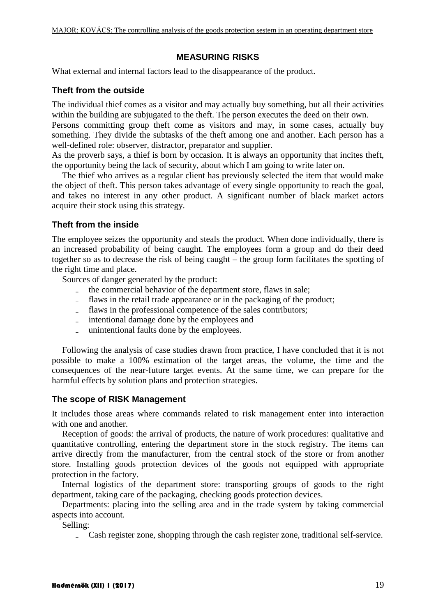#### **MEASURING RISKS**

What external and internal factors lead to the disappearance of the product.

#### **Theft from the outside**

The individual thief comes as a visitor and may actually buy something, but all their activities within the building are subjugated to the theft. The person executes the deed on their own.

Persons committing group theft come as visitors and may, in some cases, actually buy something. They divide the subtasks of the theft among one and another. Each person has a well-defined role: observer, distractor, preparator and supplier.

As the proverb says, a thief is born by occasion. It is always an opportunity that incites theft, the opportunity being the lack of security, about which I am going to write later on.

The thief who arrives as a regular client has previously selected the item that would make the object of theft. This person takes advantage of every single opportunity to reach the goal, and takes no interest in any other product. A significant number of black market actors acquire their stock using this strategy.

#### **Theft from the inside**

The employee seizes the opportunity and steals the product. When done individually, there is an increased probability of being caught. The employees form a group and do their deed together so as to decrease the risk of being caught – the group form facilitates the spotting of the right time and place.

Sources of danger generated by the product:

- ₋ the commercial behavior of the department store, flaws in sale;
- flaws in the retail trade appearance or in the packaging of the product;
- ₋ flaws in the professional competence of the sales contributors;
- ₋ intentional damage done by the employees and
- ₋ unintentional faults done by the employees.

Following the analysis of case studies drawn from practice, I have concluded that it is not possible to make a 100% estimation of the target areas, the volume, the time and the consequences of the near-future target events. At the same time, we can prepare for the harmful effects by solution plans and protection strategies.

#### **The scope of RISK Management**

It includes those areas where commands related to risk management enter into interaction with one and another.

Reception of goods: the arrival of products, the nature of work procedures: qualitative and quantitative controlling, entering the department store in the stock registry. The items can arrive directly from the manufacturer, from the central stock of the store or from another store. Installing goods protection devices of the goods not equipped with appropriate protection in the factory.

Internal logistics of the department store: transporting groups of goods to the right department, taking care of the packaging, checking goods protection devices.

Departments: placing into the selling area and in the trade system by taking commercial aspects into account.

Selling:

₋ Cash register zone, shopping through the cash register zone, traditional self-service.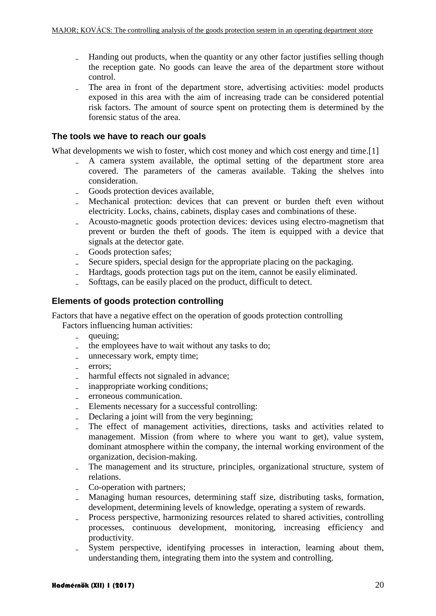- Handing out products, when the quantity or any other factor justifies selling though the reception gate. No goods can leave the area of the department store without control.
- ₋ The area in front of the department store, advertising activities: model products exposed in this area with the aim of increasing trade can be considered potential risk factors. The amount of source spent on protecting them is determined by the forensic status of the area.

#### **The tools we have to reach our goals**

What developments we wish to foster, which cost money and which cost energy and time.[1]

- ₋ A camera system available, the optimal setting of the department store area covered. The parameters of the cameras available. Taking the shelves into consideration.
- ₋ Goods protection devices available,
- ₋ Mechanical protection: devices that can prevent or burden theft even without electricity. Locks, chains, cabinets, display cases and combinations of these.
- ₋ Acousto-magnetic goods protection devices: devices using electro-magnetism that prevent or burden the theft of goods. The item is equipped with a device that signals at the detector gate.
- ₋ Goods protection safes;
- ₋ Secure spiders, special design for the appropriate placing on the packaging.
- ₋ Hardtags, goods protection tags put on the item, cannot be easily eliminated.
- Softtags, can be easily placed on the product, difficult to detect.

#### **Elements of goods protection controlling**

Factors that have a negative effect on the operation of goods protection controlling

Factors influencing human activities:

- queuing;
- the employees have to wait without any tasks to do;
- ₋ unnecessary work, empty time;
- errors:
- harmful effects not signaled in advance;
- inappropriate working conditions;
- ₋ erroneous communication.
- ₋ Elements necessary for a successful controlling:
- ₋ Declaring a joint will from the very beginning;
- ₋ The effect of management activities, directions, tasks and activities related to management. Mission (from where to where you want to get), value system, dominant atmosphere within the company, the internal working environment of the organization, decision-making.
- ₋ The management and its structure, principles, organizational structure, system of relations.
- ₋ Co-operation with partners;
- ₋ Managing human resources, determining staff size, distributing tasks, formation, development, determining levels of knowledge, operating a system of rewards.
- ₋ Process perspective, harmonizing resources related to shared activities, controlling processes, continuous development, monitoring, increasing efficiency and productivity.
- System perspective, identifying processes in interaction, learning about them, understanding them, integrating them into the system and controlling.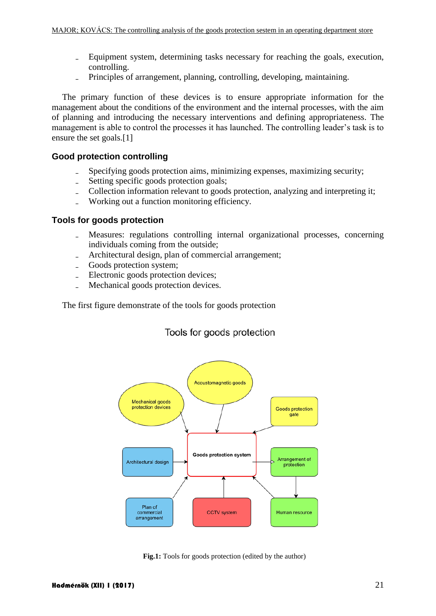- ₋ Equipment system, determining tasks necessary for reaching the goals, execution, controlling.
- Principles of arrangement, planning, controlling, developing, maintaining.

The primary function of these devices is to ensure appropriate information for the management about the conditions of the environment and the internal processes, with the aim of planning and introducing the necessary interventions and defining appropriateness. The management is able to control the processes it has launched. The controlling leader's task is to ensure the set goals.<sup>[1]</sup>

#### **Good protection controlling**

- Specifying goods protection aims, minimizing expenses, maximizing security;
- ₋ Setting specific goods protection goals;
- Collection information relevant to goods protection, analyzing and interpreting it;
- ₋ Working out a function monitoring efficiency.

#### **Tools for goods protection**

- ₋ Measures: regulations controlling internal organizational processes, concerning individuals coming from the outside;
- Architectural design, plan of commercial arrangement;
- ₋ Goods protection system;
- ₋ Electronic goods protection devices;
- Mechanical goods protection devices.

The first figure demonstrate of the tools for goods protection

### Tools for goods protection



**Fig.1:** Tools for goods protection (edited by the author)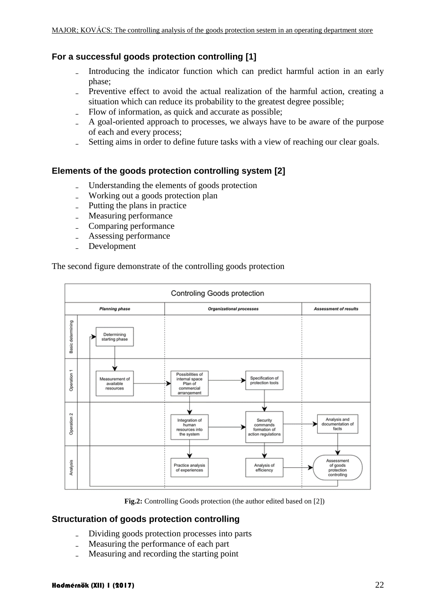### **For a successful goods protection controlling [1]**

- Introducing the indicator function which can predict harmful action in an early phase;
- Preventive effect to avoid the actual realization of the harmful action, creating a situation which can reduce its probability to the greatest degree possible;
- Flow of information, as quick and accurate as possible;
- ₋ A goal-oriented approach to processes, we always have to be aware of the purpose of each and every process;
- Setting aims in order to define future tasks with a view of reaching our clear goals.

### **Elements of the goods protection controlling system [2]**

- ₋ Understanding the elements of goods protection
- Working out a goods protection plan
- ₋ Putting the plans in practice
- Measuring performance
- Comparing performance
- Assessing performance
- ₋ Development

#### The second figure demonstrate of the controlling goods protection



**Fig.2:** Controlling Goods protection (the author edited based on [2])

### **Structuration of goods protection controlling**

- ₋ Dividing goods protection processes into parts
- ₋ Measuring the performance of each part
- ₋ Measuring and recording the starting point